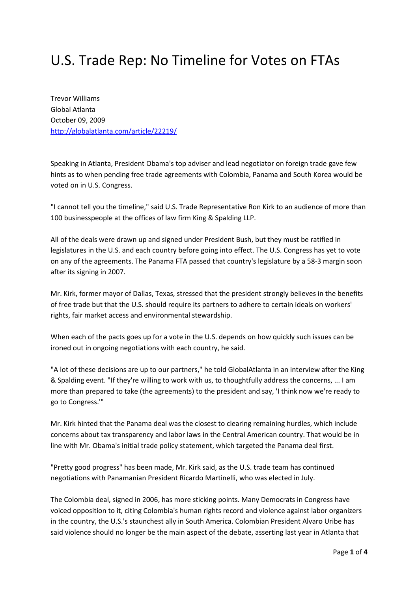## U.S. Trade Rep: No Timeline for Votes on FTAs

Trevor Williams Global Atlanta October 09, 2009 http://globalatlanta.com/article/22219/

Speaking in Atlanta, President Obama's top adviser and lead negotiator on foreign trade gave few hints as to when pending free trade agreements with Colombia, Panama and South Korea would be voted on in U.S. Congress.

"I cannot tell you the timeline," said U.S. Trade Representative Ron Kirk to an audience of more than 100 businesspeople at the offices of law firm King & Spalding LLP.

All of the deals were drawn up and signed under President Bush, but they must be ratified in legislatures in the U.S. and each country before going into effect. The U.S. Congress has yet to vote on any of the agreements. The Panama FTA passed that country's legislature by a 58-3 margin soon after its signing in 2007.

Mr. Kirk, former mayor of Dallas, Texas, stressed that the president strongly believes in the benefits of free trade but that the U.S. should require its partners to adhere to certain ideals on workers' rights, fair market access and environmental stewardship.

When each of the pacts goes up for a vote in the U.S. depends on how quickly such issues can be ironed out in ongoing negotiations with each country, he said.

"A lot of these decisions are up to our partners," he told GlobalAtlanta in an interview after the King & Spalding event. "If they're willing to work with us, to thoughtfully address the concerns, ... I am more than prepared to take (the agreements) to the president and say, 'I think now we're ready to go to Congress.'"

Mr. Kirk hinted that the Panama deal was the closest to clearing remaining hurdles, which include concerns about tax transparency and labor laws in the Central American country. That would be in line with Mr. Obama's initial trade policy statement, which targeted the Panama deal first.

"Pretty good progress" has been made, Mr. Kirk said, as the U.S. trade team has continued negotiations with Panamanian President Ricardo Martinelli, who was elected in July.

The Colombia deal, signed in 2006, has more sticking points. Many Democrats in Congress have voiced opposition to it, citing Colombia's human rights record and violence against labor organizers in the country, the U.S.'s staunchest ally in South America. Colombian President Alvaro Uribe has said violence should no longer be the main aspect of the debate, asserting last year in Atlanta that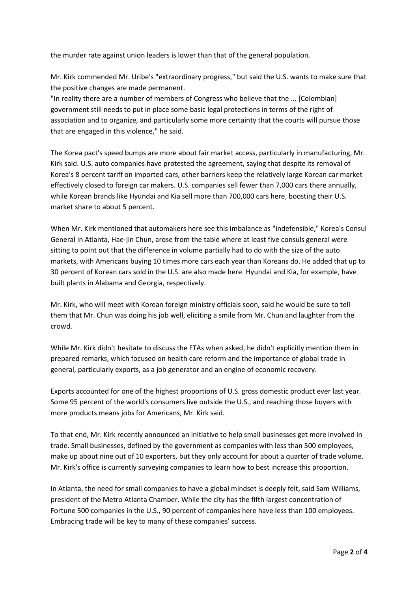the murder rate against union leaders is lower than that of the general population.

Mr. Kirk commended Mr. Uribe's "extraordinary progress," but said the U.S. wants to make sure that the positive changes are made permanent.

"In reality there are a number of members of Congress who believe that the ... [Colombian] government still needs to put in place some basic legal protections in terms of the right of association and to organize, and particularly some more certainty that the courts will pursue those that are engaged in this violence," he said.

The Korea pact's speed bumps are more about fair market access, particularly in manufacturing, Mr. Kirk said. U.S. auto companies have protested the agreement, saying that despite its removal of Korea's 8 percent tariff on imported cars, other barriers keep the relatively large Korean car market effectively closed to foreign car makers. U.S. companies sell fewer than 7,000 cars there annually, while Korean brands like Hyundai and Kia sell more than 700,000 cars here, boosting their U.S. market share to about 5 percent.

When Mr. Kirk mentioned that automakers here see this imbalance as "indefensible," Korea's Consul General in Atlanta, Hae-jin Chun, arose from the table where at least five consuls general were sitting to point out that the difference in volume partially had to do with the size of the auto markets, with Americans buying 10 times more cars each year than Koreans do. He added that up to 30 percent of Korean cars sold in the U.S. are also made here. Hyundai and Kia, for example, have built plants in Alabama and Georgia, respectively.

Mr. Kirk, who will meet with Korean foreign ministry officials soon, said he would be sure to tell them that Mr. Chun was doing his job well, eliciting a smile from Mr. Chun and laughter from the crowd.

While Mr. Kirk didn't hesitate to discuss the FTAs when asked, he didn't explicitly mention them in prepared remarks, which focused on health care reform and the importance of global trade in general, particularly exports, as a job generator and an engine of economic recovery.

Exports accounted for one of the highest proportions of U.S. gross domestic product ever last year. Some 95 percent of the world's consumers live outside the U.S., and reaching those buyers with more products means jobs for Americans, Mr. Kirk said.

To that end, Mr. Kirk recently announced an initiative to help small businesses get more involved in trade. Small businesses, defined by the government as companies with less than 500 employees, make up about nine out of 10 exporters, but they only account for about a quarter of trade volume. Mr. Kirk's office is currently surveying companies to learn how to best increase this proportion.

In Atlanta, the need for small companies to have a global mindset is deeply felt, said Sam Williams, president of the Metro Atlanta Chamber. While the city has the fifth largest concentration of Fortune 500 companies in the U.S., 90 percent of companies here have less than 100 employees. Embracing trade will be key to many of these companies' success.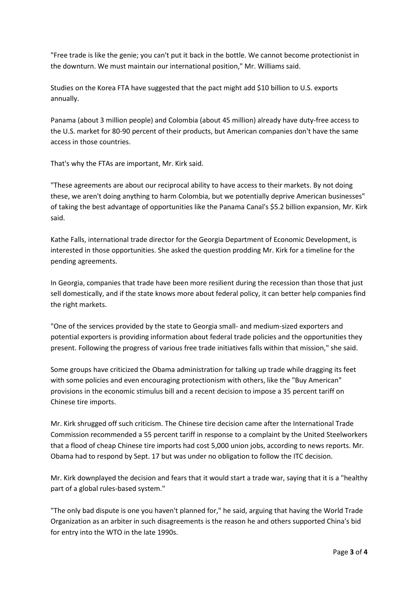"Free trade is like the genie; you can't put it back in the bottle. We cannot become protectionist in the downturn. We must maintain our international position," Mr. Williams said.

Studies on the Korea FTA have suggested that the pact might add \$10 billion to U.S. exports annually.

Panama (about 3 million people) and Colombia (about 45 million) already have duty-free access to the U.S. market for 80-90 percent of their products, but American companies don't have the same access in those countries.

That's why the FTAs are important, Mr. Kirk said.

"These agreements are about our reciprocal ability to have access to their markets. By not doing these, we aren't doing anything to harm Colombia, but we potentially deprive American businesses" of taking the best advantage of opportunities like the Panama Canal's \$5.2 billion expansion, Mr. Kirk said.

Kathe Falls, international trade director for the Georgia Department of Economic Development, is interested in those opportunities. She asked the question prodding Mr. Kirk for a timeline for the pending agreements.

In Georgia, companies that trade have been more resilient during the recession than those that just sell domestically, and if the state knows more about federal policy, it can better help companies find the right markets.

"One of the services provided by the state to Georgia small- and medium-sized exporters and potential exporters is providing information about federal trade policies and the opportunities they present. Following the progress of various free trade initiatives falls within that mission," she said.

Some groups have criticized the Obama administration for talking up trade while dragging its feet with some policies and even encouraging protectionism with others, like the "Buy American" provisions in the economic stimulus bill and a recent decision to impose a 35 percent tariff on Chinese tire imports.

Mr. Kirk shrugged off such criticism. The Chinese tire decision came after the International Trade Commission recommended a 55 percent tariff in response to a complaint by the United Steelworkers that a flood of cheap Chinese tire imports had cost 5,000 union jobs, according to news reports. Mr. Obama had to respond by Sept. 17 but was under no obligation to follow the ITC decision.

Mr. Kirk downplayed the decision and fears that it would start a trade war, saying that it is a "healthy part of a global rules-based system."

"The only bad dispute is one you haven't planned for," he said, arguing that having the World Trade Organization as an arbiter in such disagreements is the reason he and others supported China's bid for entry into the WTO in the late 1990s.